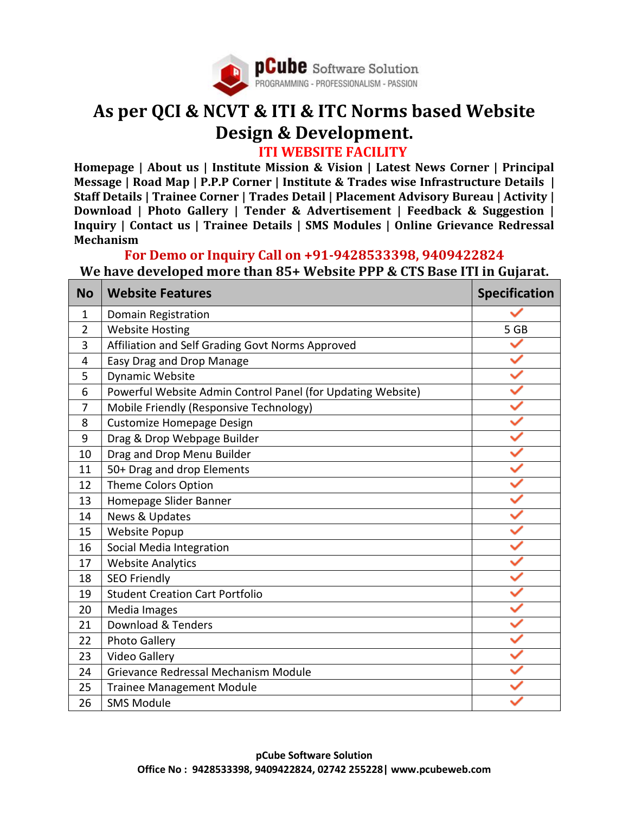

## **As per QCI & NCVT & ITI & ITC Norms based Website Design & Development. ITI WEBSITE FACILITY**

**Homepage | About us | Institute Mission & Vision | Latest News Corner | Principal Message | Road Map | P.P.P Corner | Institute & Trades wise Infrastructure Details | Staff Details | Trainee Corner | Trades Detail | Placement Advisory Bureau | Activity | Download | Photo Gallery | Tender & Advertisement | Feedback & Suggestion | Inquiry | Contact us | Trainee Details | SMS Modules | Online Grievance Redressal Mechanism**

## **For Demo or Inquiry Call on +91-9428533398, 9409422824**

**We have developed more than 85+ Website PPP & CTS Base ITI in Gujarat.**

| <b>No</b> | <b>Website Features</b>                                     | <b>Specification</b> |
|-----------|-------------------------------------------------------------|----------------------|
| 1         | Domain Registration                                         |                      |
| 2         | <b>Website Hosting</b>                                      | 5 GB                 |
| 3         | Affiliation and Self Grading Govt Norms Approved            |                      |
| 4         | Easy Drag and Drop Manage                                   |                      |
| 5         | Dynamic Website                                             |                      |
| 6         | Powerful Website Admin Control Panel (for Updating Website) |                      |
| 7         | Mobile Friendly (Responsive Technology)                     |                      |
| 8         | Customize Homepage Design                                   |                      |
| 9         | Drag & Drop Webpage Builder                                 |                      |
| 10        | Drag and Drop Menu Builder                                  |                      |
| 11        | 50+ Drag and drop Elements                                  |                      |
| 12        | Theme Colors Option                                         |                      |
| 13        | Homepage Slider Banner                                      |                      |
| 14        | News & Updates                                              |                      |
| 15        | <b>Website Popup</b>                                        |                      |
| 16        | Social Media Integration                                    |                      |
| 17        | <b>Website Analytics</b>                                    |                      |
| 18        | <b>SEO Friendly</b>                                         |                      |
| 19        | <b>Student Creation Cart Portfolio</b>                      |                      |
| 20        | Media Images                                                |                      |
| 21        | Download & Tenders                                          |                      |
| 22        | Photo Gallery                                               |                      |
| 23        | Video Gallery                                               |                      |
| 24        | Grievance Redressal Mechanism Module                        |                      |
| 25        | <b>Trainee Management Module</b>                            |                      |
| 26        | <b>SMS Module</b>                                           |                      |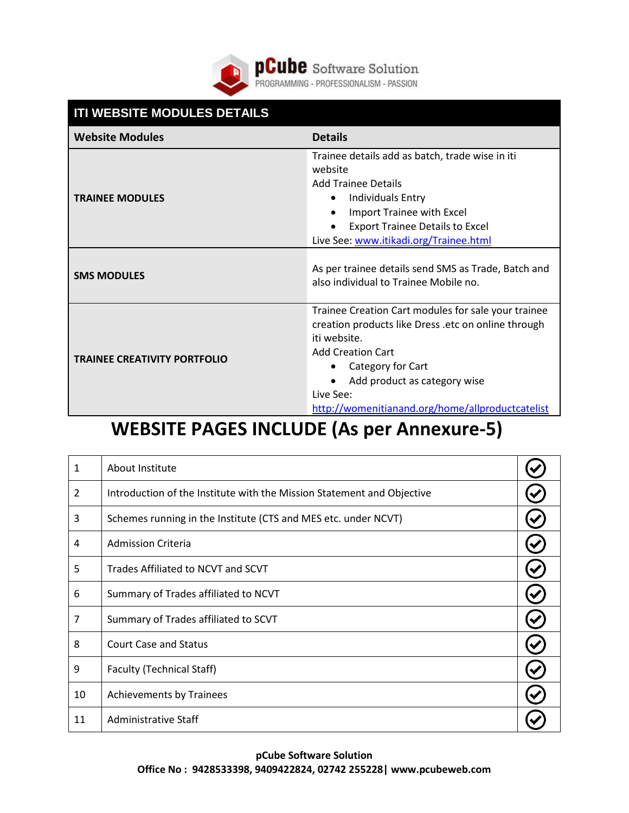

**pCube** Software Solution<br>PROGRAMMING - PROFESSIONALISM - PASSION

| <b>ITI WEBSITE MODULES DETAILS</b>  |                                                                                                                                                                                                                                                                              |  |
|-------------------------------------|------------------------------------------------------------------------------------------------------------------------------------------------------------------------------------------------------------------------------------------------------------------------------|--|
| <b>Website Modules</b>              | <b>Details</b>                                                                                                                                                                                                                                                               |  |
| <b>TRAINEE MODULES</b>              | Trainee details add as batch, trade wise in iti<br>website<br><b>Add Trainee Details</b><br>Individuals Entry<br>Import Trainee with Excel<br><b>Export Trainee Details to Excel</b><br>Live See: www.itikadi.org/Trainee.html                                               |  |
| <b>SMS MODULES</b>                  | As per trainee details send SMS as Trade, Batch and<br>also individual to Trainee Mobile no.                                                                                                                                                                                 |  |
| <b>TRAINEE CREATIVITY PORTFOLIO</b> | Trainee Creation Cart modules for sale your trainee<br>creation products like Dress .etc on online through<br>iti website.<br><b>Add Creation Cart</b><br>Category for Cart<br>Add product as category wise<br>Live See:<br>http://womenitianand.org/home/allproductcatelist |  |

# **WEBSITE PAGES INCLUDE (As per Annexure-5)**

| $\mathbf{1}$   | About Institute                                                        |  |
|----------------|------------------------------------------------------------------------|--|
| $\overline{2}$ | Introduction of the Institute with the Mission Statement and Objective |  |
| 3              | Schemes running in the Institute (CTS and MES etc. under NCVT)         |  |
| 4              | <b>Admission Criteria</b>                                              |  |
| 5              | Trades Affiliated to NCVT and SCVT                                     |  |
| 6              | Summary of Trades affiliated to NCVT                                   |  |
| $\overline{7}$ | Summary of Trades affiliated to SCVT                                   |  |
| 8              | <b>Court Case and Status</b>                                           |  |
| 9              | <b>Faculty (Technical Staff)</b>                                       |  |
| 10             | Achievements by Trainees                                               |  |
| 11             | Administrative Staff                                                   |  |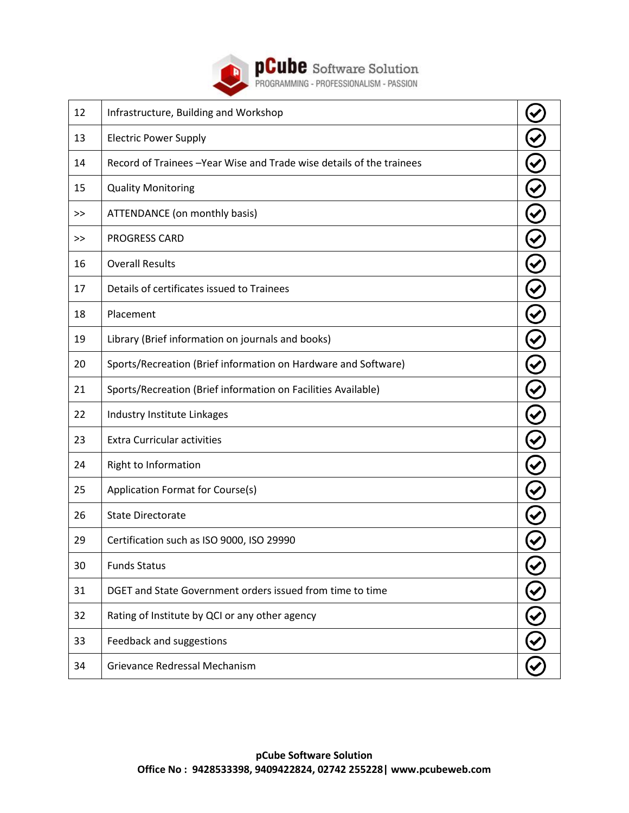

**PCube** Software Solution

| 12 | Infrastructure, Building and Workshop                                 |  |
|----|-----------------------------------------------------------------------|--|
| 13 | <b>Electric Power Supply</b>                                          |  |
| 14 | Record of Trainees - Year Wise and Trade wise details of the trainees |  |
| 15 | <b>Quality Monitoring</b>                                             |  |
| >> | ATTENDANCE (on monthly basis)                                         |  |
| >> | <b>PROGRESS CARD</b>                                                  |  |
| 16 | <b>Overall Results</b>                                                |  |
| 17 | Details of certificates issued to Trainees                            |  |
| 18 | Placement                                                             |  |
| 19 | Library (Brief information on journals and books)                     |  |
| 20 | Sports/Recreation (Brief information on Hardware and Software)        |  |
| 21 | Sports/Recreation (Brief information on Facilities Available)         |  |
| 22 | Industry Institute Linkages                                           |  |
| 23 | <b>Extra Curricular activities</b>                                    |  |
| 24 | Right to Information                                                  |  |
| 25 | Application Format for Course(s)                                      |  |
| 26 | <b>State Directorate</b>                                              |  |
| 29 | Certification such as ISO 9000, ISO 29990                             |  |
| 30 | <b>Funds Status</b>                                                   |  |
| 31 | DGET and State Government orders issued from time to time             |  |
| 32 | Rating of Institute by QCI or any other agency                        |  |
| 33 | Feedback and suggestions                                              |  |
| 34 | Grievance Redressal Mechanism                                         |  |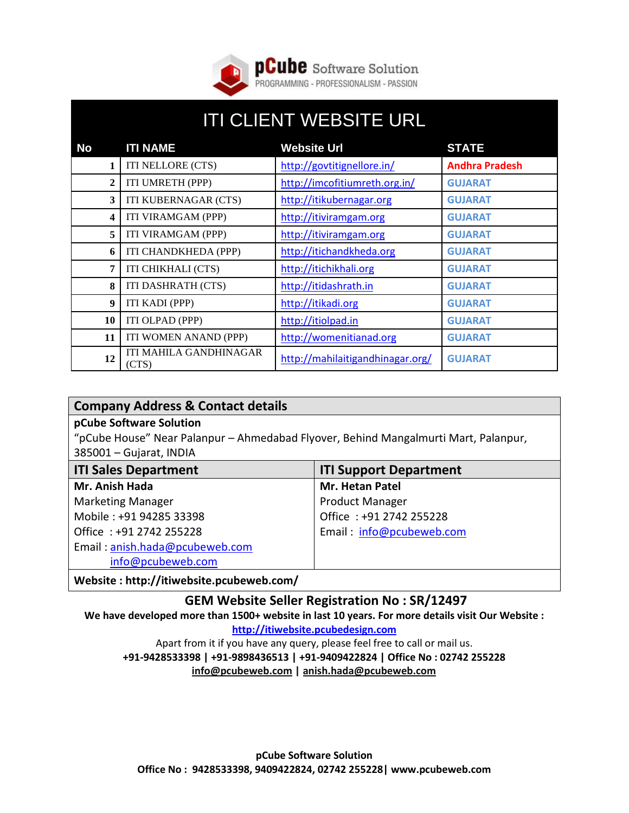

## ITI CLIENT WEBSITE URL **No ITI NAME Website Url STATE 1** ITI NELLORE (CTS) <http://govtitignellore.in/> **Andhra Pradesh 2** ITI UMRETH (PPP) <http://imcofitiumreth.org.in/> **GUJARAT 3** ITI KUBERNAGAR (CTS) [http://itikubernagar.org](http://itikubernagar.org/) **GUJARAT 4** ITI VIRAMGAM (PPP) [http://itiviramgam.org](http://itiviramgam.org/) **GUJARAT 5** ITI VIRAMGAM (PPP) [http://itiviramgam.org](http://itiviramgam.org/) **GUJARAT 6** ITI CHANDKHEDA (PPP) [http://itichandkheda.org](http://itichandkheda.org/) **GUJARAT 7** ITI CHIKHALI (CTS) [http://itichikhali.org](http://itichikhali.org/) **GUJARAT 8** ITI DASHRATH (CTS) [http://itidashrath.in](http://itidashrath.in/) **GUJARAT 9** ITI KADI (PPP) [http://itikadi.org](http://itikadi.org/) **GUJARAT 10** ITI OLPAD (PPP) [http://itiolpad.in](http://itiolpad.in/) **GUJARAT 11** ITI WOMEN ANAND (PPP) [http://womenitianad.org](http://womenitianad.org/) **GUJARAT** 12 **ITI MAHILA GANDHINAGAR** <http://mahilaitigandhinagar.org/> **GUJARAT**

## **Company Address & Contact details**

#### **pCube Software Solution**

"pCube House" Near Palanpur – Ahmedabad Flyover, Behind Mangalmurti Mart, Palanpur, 385001 – Gujarat, INDIA

| <b>ITI Sales Department</b>    | <b>ITI Support Department</b> |  |
|--------------------------------|-------------------------------|--|
| Mr. Anish Hada                 | Mr. Hetan Patel               |  |
| <b>Marketing Manager</b>       | <b>Product Manager</b>        |  |
| Mobile: +91 94285 33398        | Office: +91 2742 255228       |  |
| Office: +91 2742 255228        | Email: info@pcubeweb.com      |  |
| Email: anish.hada@pcubeweb.com |                               |  |
| info@pcubeweb.com              |                               |  |
|                                |                               |  |

**Website : http://itiwebsite.pcubeweb.com/**

## **GEM Website Seller Registration No : SR/12497**

**We have developed more than 1500+ website in last 10 years. For more details visit Our Website : [http://itiwebsite.pcubedesign.com](http://itiwebsite.pcubedesign.com/)**

Apart from it if you have any query, please feel free to call or mail us. **+91-9428533398 | +91-9898436513 | +91-9409422824 | Office No : 02742 255228 [info@pcubeweb.com](mailto:info@pcubeweb.com) | [anish.hada@pcubeweb.com](mailto:anish.hada@pcubeweb.com)**